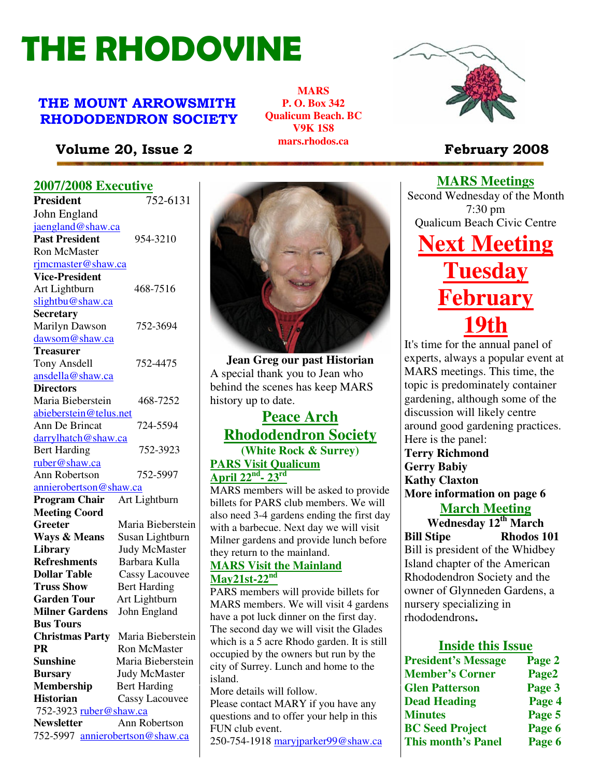# THE RHODOVINE

# THE MOUNT ARROWSMITH RHODODENDRON SOCIETY

**MARS P. O. Box 342 Qualicum Beach. BC V9K 1S8 mars.rhodos.ca** 



**MARS Meetings** Second Wednesday of the Month

# Volume 20, Issue 2 **February 2008**

# **2007/2008 Executive**

| <b>President</b>                | 752-6131              |  |
|---------------------------------|-----------------------|--|
| John England                    |                       |  |
| jaengland@shaw.ca               |                       |  |
| <b>Past President</b>           | 954-3210              |  |
| <b>Ron McMaster</b>             |                       |  |
| rjmcmaster@shaw.ca              |                       |  |
| <b>Vice-President</b>           |                       |  |
| Art Lightburn                   | 468-7516              |  |
| slightbu@shaw.ca                |                       |  |
| <b>Secretary</b>                |                       |  |
| Marilyn Dawson                  | 752-3694              |  |
| dawsom@shaw.ca                  |                       |  |
| <b>Treasurer</b>                |                       |  |
| Tony Ansdell                    | 752-4475              |  |
| ansdella@shaw.ca                |                       |  |
| <b>Directors</b>                |                       |  |
| Maria Bieberstein               | 468-7252              |  |
| abieberstein@telus.net          |                       |  |
| Ann De Brincat                  | 724-5594              |  |
| darrylhatch@shaw.ca             |                       |  |
| <b>Bert Harding</b>             | 752-3923              |  |
| ruber@shaw.ca                   |                       |  |
| Ann Robertson                   | 752-5997              |  |
| annierobertson@shaw.ca          |                       |  |
| <b>Program Chair</b>            | Art Lightburn         |  |
| <b>Meeting Coord</b>            |                       |  |
| Greeter                         | Maria Bieberstein     |  |
| <b>Ways &amp; Means</b>         | Susan Lightburn       |  |
| Library                         | <b>Judy McMaster</b>  |  |
| <b>Refreshments</b>             | Barbara Kulla         |  |
| <b>Dollar Table</b>             | <b>Cassy Lacouvee</b> |  |
| <b>Truss Show</b>               | <b>Bert Harding</b>   |  |
| <b>Garden Tour</b>              | Art Lightburn         |  |
| <b>Milner Gardens</b>           | John England          |  |
| <b>Bus Tours</b>                |                       |  |
| <b>Christmas Party</b>          | Maria Bieberstein     |  |
| <b>PR</b>                       | <b>Ron McMaster</b>   |  |
| <b>Sunshine</b>                 | Maria Bieberstein     |  |
| <b>Bursary</b>                  | <b>Judy McMaster</b>  |  |
| <b>Membership</b>               | <b>Bert Harding</b>   |  |
| <b>Historian</b>                | <b>Cassy Lacouvee</b> |  |
| 752-3923 ruber@shaw.ca          |                       |  |
| <b>Newsletter</b>               | Ann Robertson         |  |
| 752-5997 annierobertson@shaw.ca |                       |  |



**Jean Greg our past Historian** A special thank you to Jean who behind the scenes has keep MARS history up to date.

# **Peace Arch Rhododendron Society (White Rock & Surrey)**

# **PARS Visit Qualicum April 22nd- 23rd**

MARS members will be asked to provide billets for PARS club members. We will also need 3-4 gardens ending the first day with a barbecue. Next day we will visit Milner gardens and provide lunch before they return to the mainland.

#### **MARS Visit the Mainland May21st-22nd**

**Sunshine** Maria Bieberstein city of Surrey. Lunch and home to the PARS members will provide billets for MARS members. We will visit 4 gardens have a pot luck dinner on the first day. The second day we will visit the Glades which is a 5 acre Rhodo garden. It is still occupied by the owners but run by the island.

More details will follow.

Please contact MARY if you have any questions and to offer your help in this FUN club event.

250-754-1918 maryjparker99@shaw.ca

# 7:30 pm Qualicum Beach Civic Centre **Next Meeting Tuesday bruary 19th**

It's time for the annual panel of experts, always a popular event at MARS meetings. This time, the topic is predominately container gardening, although some of the discussion will likely centre around good gardening practices. Here is the panel: **Terry Richmond Gerry Babiy Kathy Claxton More information on page 6**

**March Meeting**

**Wednesday 12th March Bill Stipe Rhodos 101** Bill is president of the Whidbey Island chapter of the American Rhododendron Society and the owner of Glynneden Gardens, a nursery specializing in rhododendrons**.** 

## **Inside this Issue**

| <b>President's Message</b> | Page 2 |
|----------------------------|--------|
| <b>Member's Corner</b>     | Page2  |
| <b>Glen Patterson</b>      | Page 3 |
| <b>Dead Heading</b>        | Page 4 |
| <b>Minutes</b>             | Page 5 |
| <b>BC</b> Seed Project     | Page 6 |
| <b>This month's Panel</b>  | Page 6 |
|                            |        |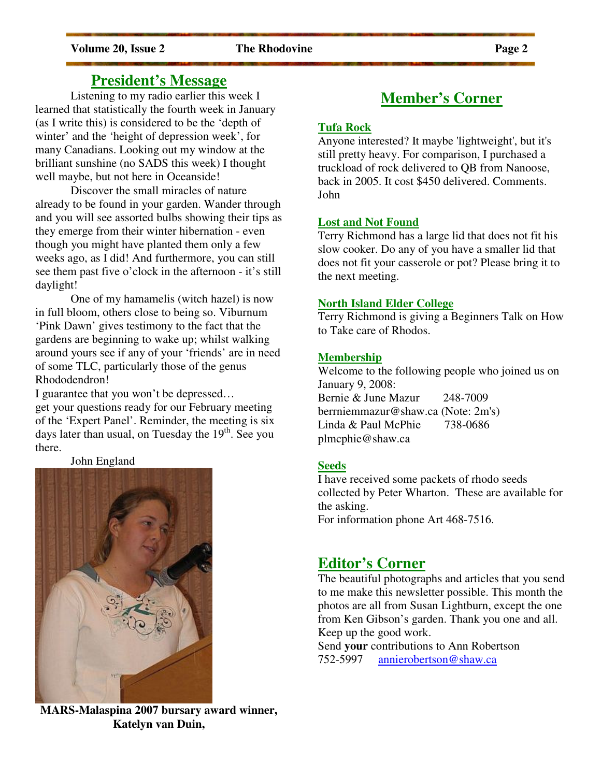# **President's Message**

Listening to my radio earlier this week I learned that statistically the fourth week in January (as I write this) is considered to be the 'depth of winter' and the 'height of depression week', for many Canadians. Looking out my window at the brilliant sunshine (no SADS this week) I thought well maybe, but not here in Oceanside!

 Discover the small miracles of nature already to be found in your garden. Wander through and you will see assorted bulbs showing their tips as they emerge from their winter hibernation - even though you might have planted them only a few weeks ago, as I did! And furthermore, you can still see them past five o'clock in the afternoon - it's still daylight!

 One of my hamamelis (witch hazel) is now in full bloom, others close to being so. Viburnum 'Pink Dawn' gives testimony to the fact that the gardens are beginning to wake up; whilst walking around yours see if any of your 'friends' are in need of some TLC, particularly those of the genus Rhododendron!

I guarantee that you won't be depressed… get your questions ready for our February meeting of the 'Expert Panel'. Reminder, the meeting is six days later than usual, on Tuesday the  $19<sup>th</sup>$ . See you there.

John England



**MARS-Malaspina 2007 bursary award winner, Katelyn van Duin,**

# **Member's Corner**

#### **Tufa Rock**

Anyone interested? It maybe 'lightweight', but it's still pretty heavy. For comparison, I purchased a truckload of rock delivered to QB from Nanoose, back in 2005. It cost \$450 delivered. Comments. John

### **Lost and Not Found**

Terry Richmond has a large lid that does not fit his slow cooker. Do any of you have a smaller lid that does not fit your casserole or pot? Please bring it to the next meeting.

#### **North Island Elder College**

Terry Richmond is giving a Beginners Talk on How to Take care of Rhodos.

### **Membership**

Welcome to the following people who joined us on January 9, 2008: Bernie & June Mazur 248-7009 berrniemmazur@shaw.ca (Note: 2m's) Linda & Paul McPhie 738-0686 plmcphie@shaw.ca

### **Seeds**

I have received some packets of rhodo seeds collected by Peter Wharton. These are available for the asking.

For information phone Art 468-7516.

# **Editor's Corner**

The beautiful photographs and articles that you send to me make this newsletter possible. This month the photos are all from Susan Lightburn, except the one from Ken Gibson's garden. Thank you one and all. Keep up the good work.

Send **your** contributions to Ann Robertson 752-5997 annierobertson@shaw.ca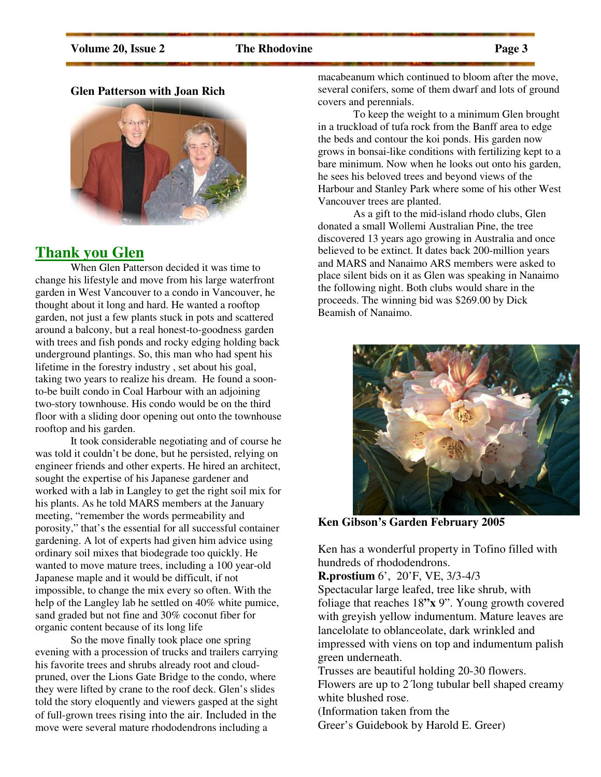### Volume 20, Issue 2 **The Rhodovine** Page 3

### **Glen Patterson with Joan Rich**



# **Thank you Glen**

When Glen Patterson decided it was time to change his lifestyle and move from his large waterfront garden in West Vancouver to a condo in Vancouver, he thought about it long and hard. He wanted a rooftop garden, not just a few plants stuck in pots and scattered around a balcony, but a real honest-to-goodness garden with trees and fish ponds and rocky edging holding back underground plantings. So, this man who had spent his lifetime in the forestry industry , set about his goal, taking two years to realize his dream. He found a soonto-be built condo in Coal Harbour with an adjoining two-story townhouse. His condo would be on the third floor with a sliding door opening out onto the townhouse rooftop and his garden.

It took considerable negotiating and of course he was told it couldn't be done, but he persisted, relying on engineer friends and other experts. He hired an architect, sought the expertise of his Japanese gardener and worked with a lab in Langley to get the right soil mix for his plants. As he told MARS members at the January meeting, "remember the words permeability and porosity," that's the essential for all successful container gardening. A lot of experts had given him advice using ordinary soil mixes that biodegrade too quickly. He wanted to move mature trees, including a 100 year-old Japanese maple and it would be difficult, if not impossible, to change the mix every so often. With the help of the Langley lab he settled on 40% white pumice, sand graded but not fine and 30% coconut fiber for organic content because of its long life

So the move finally took place one spring evening with a procession of trucks and trailers carrying his favorite trees and shrubs already root and cloudpruned, over the Lions Gate Bridge to the condo, where they were lifted by crane to the roof deck. Glen's slides told the story eloquently and viewers gasped at the sight of full-grown trees rising into the air. Included in the move were several mature rhododendrons including a

macabeanum which continued to bloom after the move, several conifers, some of them dwarf and lots of ground covers and perennials.

To keep the weight to a minimum Glen brought in a truckload of tufa rock from the Banff area to edge the beds and contour the koi ponds. His garden now grows in bonsai-like conditions with fertilizing kept to a bare minimum. Now when he looks out onto his garden, he sees his beloved trees and beyond views of the Harbour and Stanley Park where some of his other West Vancouver trees are planted.

As a gift to the mid-island rhodo clubs, Glen donated a small Wollemi Australian Pine, the tree discovered 13 years ago growing in Australia and once believed to be extinct. It dates back 200-million years and MARS and Nanaimo ARS members were asked to place silent bids on it as Glen was speaking in Nanaimo the following night. Both clubs would share in the proceeds. The winning bid was \$269.00 by Dick Beamish of Nanaimo.



**Ken Gibson's Garden February 2005** 

Ken has a wonderful property in Tofino filled with hundreds of rhododendrons.

**R.prostium** 6', 20'F, VE, 3/3-4/3

Spectacular large leafed, tree like shrub, with foliage that reaches 18**"x** 9". Young growth covered with greyish yellow indumentum. Mature leaves are lancelolate to oblanceolate, dark wrinkled and impressed with viens on top and indumentum palish green underneath.

Trusses are beautiful holding 20-30 flowers.

Flowers are up to 2<sup>1</sup> long tubular bell shaped creamy white blushed rose.

(Information taken from the

Greer's Guidebook by Harold E. Greer)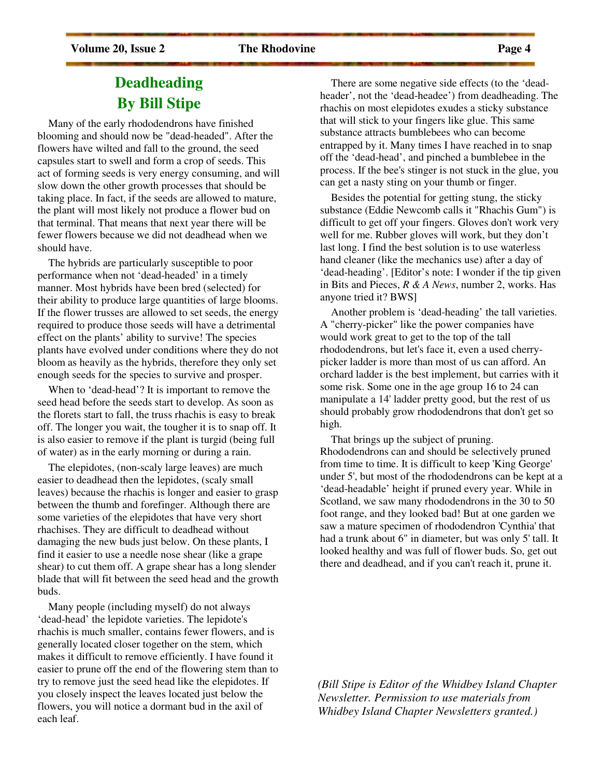# **Deadheading By Bill Stipe**

 Many of the early rhododendrons have finished blooming and should now be "dead-headed". After the flowers have wilted and fall to the ground, the seed capsules start to swell and form a crop of seeds. This act of forming seeds is very energy consuming, and will slow down the other growth processes that should be taking place. In fact, if the seeds are allowed to mature, the plant will most likely not produce a flower bud on that terminal. That means that next year there will be fewer flowers because we did not deadhead when we should have.

 The hybrids are particularly susceptible to poor performance when not 'dead-headed' in a timely manner. Most hybrids have been bred (selected) for their ability to produce large quantities of large blooms. If the flower trusses are allowed to set seeds, the energy required to produce those seeds will have a detrimental effect on the plants' ability to survive! The species plants have evolved under conditions where they do not bloom as heavily as the hybrids, therefore they only set enough seeds for the species to survive and prosper.

 When to 'dead-head'? It is important to remove the seed head before the seeds start to develop. As soon as the florets start to fall, the truss rhachis is easy to break off. The longer you wait, the tougher it is to snap off. It is also easier to remove if the plant is turgid (being full of water) as in the early morning or during a rain.

 The elepidotes, (non-scaly large leaves) are much easier to deadhead then the lepidotes, (scaly small leaves) because the rhachis is longer and easier to grasp between the thumb and forefinger. Although there are some varieties of the elepidotes that have very short rhachises. They are difficult to deadhead without damaging the new buds just below. On these plants, I find it easier to use a needle nose shear (like a grape shear) to cut them off. A grape shear has a long slender blade that will fit between the seed head and the growth buds.

 Many people (including myself) do not always 'dead-head' the lepidote varieties. The lepidote's rhachis is much smaller, contains fewer flowers, and is generally located closer together on the stem, which makes it difficult to remove efficiently. I have found it easier to prune off the end of the flowering stem than to try to remove just the seed head like the elepidotes. If you closely inspect the leaves located just below the flowers, you will notice a dormant bud in the axil of each leaf.

 There are some negative side effects (to the 'deadheader', not the 'dead-headee') from deadheading. The rhachis on most elepidotes exudes a sticky substance that will stick to your fingers like glue. This same substance attracts bumblebees who can become entrapped by it. Many times I have reached in to snap off the 'dead-head', and pinched a bumblebee in the process. If the bee's stinger is not stuck in the glue, you

 Besides the potential for getting stung, the sticky substance (Eddie Newcomb calls it "Rhachis Gum") is difficult to get off your fingers. Gloves don't work very well for me. Rubber gloves will work, but they don't last long. I find the best solution is to use waterless hand cleaner (like the mechanics use) after a day of 'dead-heading'. [Editor's note: I wonder if the tip given in Bits and Pieces, *R & A News*, number 2, works. Has anyone tried it? BWS]

can get a nasty sting on your thumb or finger.

 Another problem is 'dead-heading' the tall varieties. A "cherry-picker" like the power companies have would work great to get to the top of the tall rhododendrons, but let's face it, even a used cherrypicker ladder is more than most of us can afford. An orchard ladder is the best implement, but carries with it some risk. Some one in the age group 16 to 24 can manipulate a 14' ladder pretty good, but the rest of us should probably grow rhododendrons that don't get so high.

 That brings up the subject of pruning. Rhododendrons can and should be selectively pruned from time to time. It is difficult to keep 'King George' under 5', but most of the rhododendrons can be kept at a 'dead-headable' height if pruned every year. While in Scotland, we saw many rhododendrons in the 30 to 50 foot range, and they looked bad! But at one garden we saw a mature specimen of rhododendron 'Cynthia' that had a trunk about 6" in diameter, but was only 5' tall. It looked healthy and was full of flower buds. So, get out there and deadhead, and if you can't reach it, prune it.

*(Bill Stipe is Editor of the Whidbey Island Chapter Newsletter. Permission to use materials from Whidbey Island Chapter Newsletters granted.)*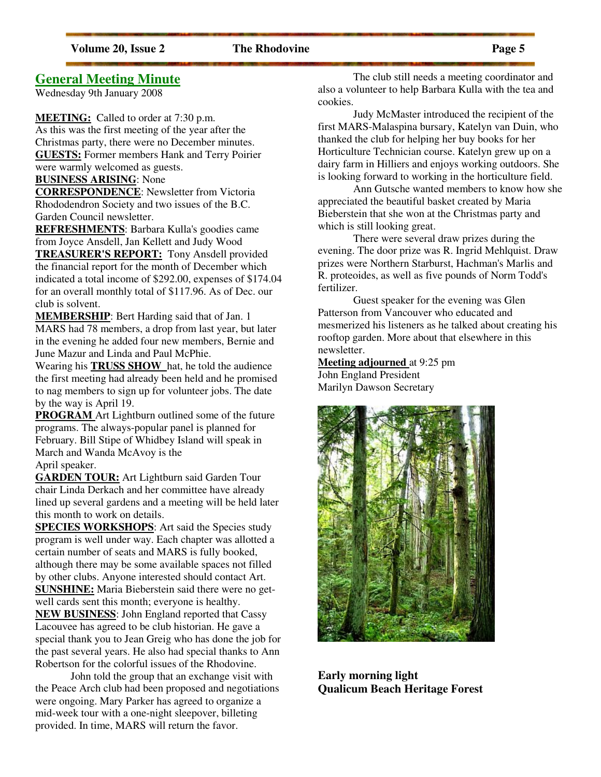## **General Meeting Minute**

Wednesday 9th January 2008

**MEETING:** Called to order at 7:30 p.m.

As this was the first meeting of the year after the Christmas party, there were no December minutes. **GUESTS:** Former members Hank and Terry Poirier were warmly welcomed as guests.

- **BUSINESS ARISING**: None
- 

**CORRESPONDENCE**: Newsletter from Victoria Rhododendron Society and two issues of the B.C. Garden Council newsletter.

**REFRESHMENTS**: Barbara Kulla's goodies came from Joyce Ansdell, Jan Kellett and Judy Wood

**TREASURER'S REPORT:** Tony Ansdell provided the financial report for the month of December which indicated a total income of \$292.00, expenses of \$174.04 for an overall monthly total of \$117.96. As of Dec. our club is solvent.

**MEMBERSHIP**: Bert Harding said that of Jan. 1 MARS had 78 members, a drop from last year, but later in the evening he added four new members, Bernie and June Mazur and Linda and Paul McPhie.

Wearing his **TRUSS SHOW** hat, he told the audience the first meeting had already been held and he promised to nag members to sign up for volunteer jobs. The date by the way is April 19.

**PROGRAM** Art Lightburn outlined some of the future programs. The always-popular panel is planned for February. Bill Stipe of Whidbey Island will speak in March and Wanda McAvoy is the April speaker.

**GARDEN TOUR:** Art Lightburn said Garden Tour chair Linda Derkach and her committee have already lined up several gardens and a meeting will be held later this month to work on details.

**SPECIES WORKSHOPS:** Art said the Species study program is well under way. Each chapter was allotted a certain number of seats and MARS is fully booked, although there may be some available spaces not filled by other clubs. Anyone interested should contact Art. **SUNSHINE:** Maria Bieberstein said there were no getwell cards sent this month; everyone is healthy. **NEW BUSINESS**: John England reported that Cassy Lacouvee has agreed to be club historian. He gave a special thank you to Jean Greig who has done the job for the past several years. He also had special thanks to Ann Robertson for the colorful issues of the Rhodovine.

 John told the group that an exchange visit with the Peace Arch club had been proposed and negotiations were ongoing. Mary Parker has agreed to organize a mid-week tour with a one-night sleepover, billeting provided. In time, MARS will return the favor.

 The club still needs a meeting coordinator and also a volunteer to help Barbara Kulla with the tea and cookies.

 Judy McMaster introduced the recipient of the first MARS-Malaspina bursary, Katelyn van Duin, who thanked the club for helping her buy books for her Horticulture Technician course. Katelyn grew up on a dairy farm in Hilliers and enjoys working outdoors. She is looking forward to working in the horticulture field.

 Ann Gutsche wanted members to know how she appreciated the beautiful basket created by Maria Bieberstein that she won at the Christmas party and which is still looking great.

 There were several draw prizes during the evening. The door prize was R. Ingrid Mehlquist. Draw prizes were Northern Starburst, Hachman's Marlis and R. proteoides, as well as five pounds of Norm Todd's fertilizer.

 Guest speaker for the evening was Glen Patterson from Vancouver who educated and mesmerized his listeners as he talked about creating his rooftop garden. More about that elsewhere in this newsletter.

## **Meeting adjourned** at 9:25 pm John England President

Marilyn Dawson Secretary



**Early morning light Qualicum Beach Heritage Forest**